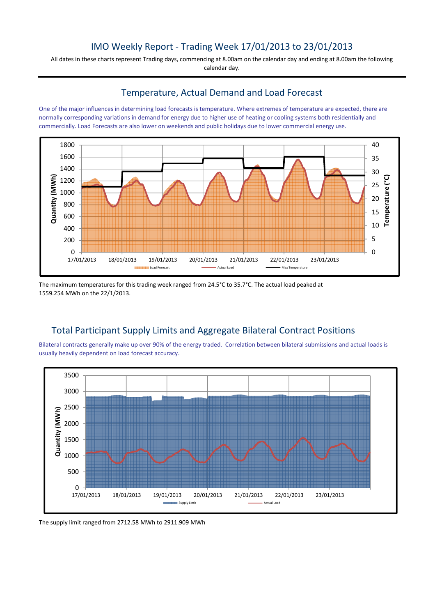# IMO Weekly Report - Trading Week 17/01/2013 to 23/01/2013

All dates in these charts represent Trading days, commencing at 8.00am on the calendar day and ending at 8.00am the following calendar day.

### Temperature, Actual Demand and Load Forecast

One of the major influences in determining load forecasts is temperature. Where extremes of temperature are expected, there are normally corresponding variations in demand for energy due to higher use of heating or cooling systems both residentially and commercially. Load Forecasts are also lower on weekends and public holidays due to lower commercial energy use.



The maximum temperatures for this trading week ranged from 24.5°C to 35.7°C. The actual load peaked at 1559.254 MWh on the 22/1/2013.

## Total Participant Supply Limits and Aggregate Bilateral Contract Positions

Bilateral contracts generally make up over 90% of the energy traded. Correlation between bilateral submissions and actual loads is usually heavily dependent on load forecast accuracy.



The supply limit ranged from 2712.58 MWh to 2911.909 MWh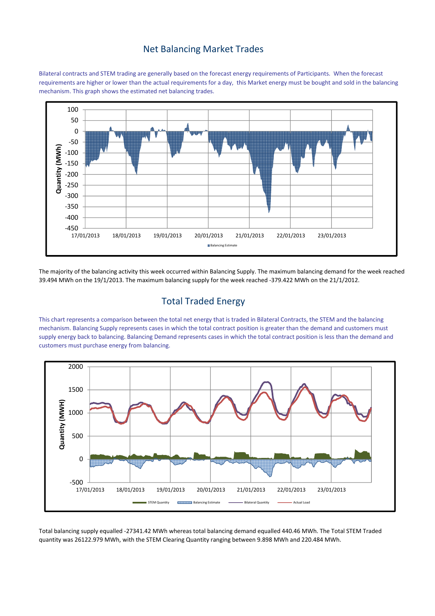### Net Balancing Market Trades

Bilateral contracts and STEM trading are generally based on the forecast energy requirements of Participants. When the forecast requirements are higher or lower than the actual requirements for a day, this Market energy must be bought and sold in the balancing mechanism. This graph shows the estimated net balancing trades.



The majority of the balancing activity this week occurred within Balancing Supply. The maximum balancing demand for the week reached 39.494 MWh on the 19/1/2013. The maximum balancing supply for the week reached -379.422 MWh on the 21/1/2012.

## Total Traded Energy

This chart represents a comparison between the total net energy that is traded in Bilateral Contracts, the STEM and the balancing mechanism. Balancing Supply represents cases in which the total contract position is greater than the demand and customers must supply energy back to balancing. Balancing Demand represents cases in which the total contract position is less than the demand and customers must purchase energy from balancing.



Total balancing supply equalled -27341.42 MWh whereas total balancing demand equalled 440.46 MWh. The Total STEM Traded quantity was 26122.979 MWh, with the STEM Clearing Quantity ranging between 9.898 MWh and 220.484 MWh.